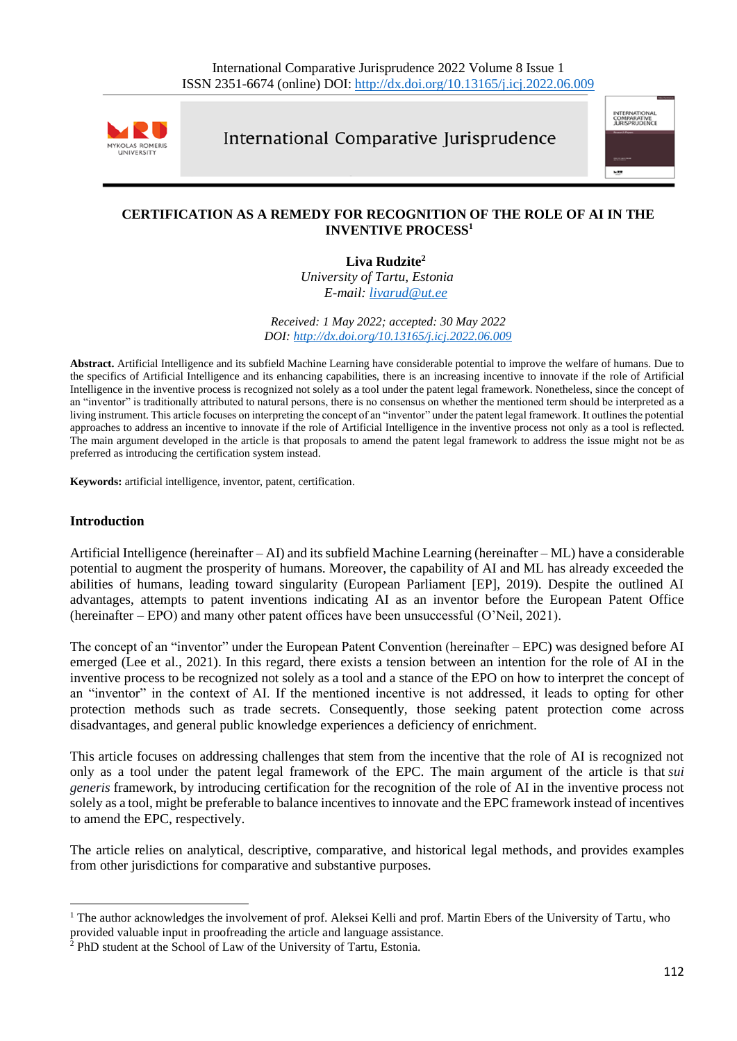

International Comparative Jurisprudence



# **CERTIFICATION AS A REMEDY FOR RECOGNITION OF THE ROLE OF AI IN THE INVENTIVE PROCESS<sup>1</sup>**

**Liva Rudzite<sup>2</sup>**

*University of Tartu, Estonia E-mail: [livarud@ut.ee](mailto:livarud@ut.ee)*

#### *Received: 1 May 2022; accepted: 30 May 2022 DOI: <http://dx.doi.org/10.13165/j.icj.2022.06.009>*

**Abstract.** Artificial Intelligence and its subfield Machine Learning have considerable potential to improve the welfare of humans. Due to the specifics of Artificial Intelligence and its enhancing capabilities, there is an increasing incentive to innovate if the role of Artificial Intelligence in the inventive process is recognized not solely as a tool under the patent legal framework. Nonetheless, since the concept of an "inventor" is traditionally attributed to natural persons, there is no consensus on whether the mentioned term should be interpreted as a living instrument. This article focuses on interpreting the concept of an "inventor" under the patent legal framework. It outlines the potential approaches to address an incentive to innovate if the role of Artificial Intelligence in the inventive process not only as a tool is reflected. The main argument developed in the article is that proposals to amend the patent legal framework to address the issue might not be as preferred as introducing the certification system instead.

**Keywords:** artificial intelligence, inventor, patent, certification.

### **Introduction**

Artificial Intelligence (hereinafter – AI) and its subfield Machine Learning (hereinafter – ML) have a considerable potential to augment the prosperity of humans. Moreover, the capability of AI and ML has already exceeded the abilities of humans, leading toward singularity (European Parliament [EP], 2019). Despite the outlined AI advantages, attempts to patent inventions indicating AI as an inventor before the European Patent Office (hereinafter – EPO) and many other patent offices have been unsuccessful (O'Neil, 2021).

The concept of an "inventor" under the European Patent Convention (hereinafter – EPC) was designed before AI emerged (Lee et al., 2021). In this regard, there exists a tension between an intention for the role of AI in the inventive process to be recognized not solely as a tool and a stance of the EPO on how to interpret the concept of an "inventor" in the context of AI. If the mentioned incentive is not addressed, it leads to opting for other protection methods such as trade secrets. Consequently, those seeking patent protection come across disadvantages, and general public knowledge experiences a deficiency of enrichment.

This article focuses on addressing challenges that stem from the incentive that the role of AI is recognized not only as a tool under the patent legal framework of the EPC. The main argument of the article is that *sui generis* framework, by introducing certification for the recognition of the role of AI in the inventive process not solely as a tool, might be preferable to balance incentives to innovate and the EPC framework instead of incentives to amend the EPC, respectively.

The article relies on analytical, descriptive, comparative, and historical legal methods, and provides examples from other jurisdictions for comparative and substantive purposes.

<sup>&</sup>lt;sup>1</sup> The author acknowledges the involvement of prof. Aleksei Kelli and prof. Martin Ebers of the University of Tartu, who provided valuable input in proofreading the article and language assistance.

<sup>2</sup> PhD student at the School of Law of the University of Tartu, Estonia.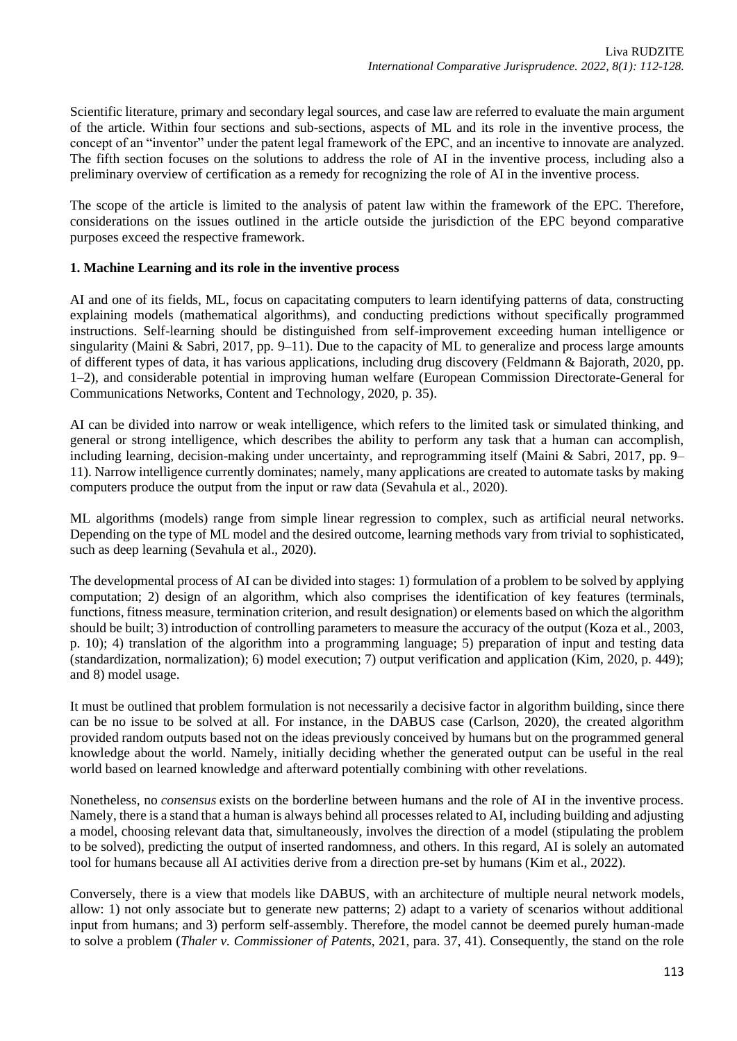Scientific literature, primary and secondary legal sources, and case law are referred to evaluate the main argument of the article. Within four sections and sub-sections, aspects of ML and its role in the inventive process, the concept of an "inventor" under the patent legal framework of the EPC, and an incentive to innovate are analyzed. The fifth section focuses on the solutions to address the role of AI in the inventive process, including also a preliminary overview of certification as a remedy for recognizing the role of AI in the inventive process.

The scope of the article is limited to the analysis of patent law within the framework of the EPC. Therefore, considerations on the issues outlined in the article outside the jurisdiction of the EPC beyond comparative purposes exceed the respective framework.

# **1. Machine Learning and its role in the inventive process**

AI and one of its fields, ML, focus on capacitating computers to learn identifying patterns of data, constructing explaining models (mathematical algorithms), and conducting predictions without specifically programmed instructions. Self-learning should be distinguished from self-improvement exceeding human intelligence or singularity (Maini & Sabri, 2017, pp. 9–11). Due to the capacity of ML to generalize and process large amounts of different types of data, it has various applications, including drug discovery (Feldmann & Bajorath, 2020, pp. 1–2), and considerable potential in improving human welfare (European Commission Directorate-General for Communications Networks, Content and Technology, 2020, p. 35).

AI can be divided into narrow or weak intelligence, which refers to the limited task or simulated thinking, and general or strong intelligence, which describes the ability to perform any task that a human can accomplish, including learning, decision-making under uncertainty, and reprogramming itself (Maini & Sabri, 2017, pp. 9– 11). Narrow intelligence currently dominates; namely, many applications are created to automate tasks by making computers produce the output from the input or raw data (Sevahula et al., 2020).

ML algorithms (models) range from simple linear regression to complex, such as artificial neural networks. Depending on the type of ML model and the desired outcome, learning methods vary from trivial to sophisticated, such as deep learning (Sevahula et al., 2020).

The developmental process of AI can be divided into stages: 1) formulation of a problem to be solved by applying computation; 2) design of an algorithm, which also comprises the identification of key features (terminals, functions, fitness measure, termination criterion, and result designation) or elements based on which the algorithm should be built; 3) introduction of controlling parameters to measure the accuracy of the output (Koza et al., 2003, p. 10); 4) translation of the algorithm into a programming language; 5) preparation of input and testing data (standardization, normalization); 6) model execution; 7) output verification and application (Kim, 2020, p. 449); and 8) model usage.

It must be outlined that problem formulation is not necessarily a decisive factor in algorithm building, since there can be no issue to be solved at all. For instance, in the DABUS case (Carlson, 2020), the created algorithm provided random outputs based not on the ideas previously conceived by humans but on the programmed general knowledge about the world. Namely, initially deciding whether the generated output can be useful in the real world based on learned knowledge and afterward potentially combining with other revelations.

Nonetheless, no *consensus* exists on the borderline between humans and the role of AI in the inventive process. Namely, there is a stand that a human is always behind all processes related to AI, including building and adjusting a model, choosing relevant data that, simultaneously, involves the direction of a model (stipulating the problem to be solved), predicting the output of inserted randomness, and others. In this regard, AI is solely an automated tool for humans because all AI activities derive from a direction pre-set by humans (Kim et al., 2022).

Conversely, there is a view that models like DABUS, with an architecture of multiple neural network models, allow: 1) not only associate but to generate new patterns; 2) adapt to a variety of scenarios without additional input from humans; and 3) perform self-assembly. Therefore, the model cannot be deemed purely human-made to solve a problem (*Thaler v. Commissioner of Patents*, 2021, para. 37, 41). Consequently, the stand on the role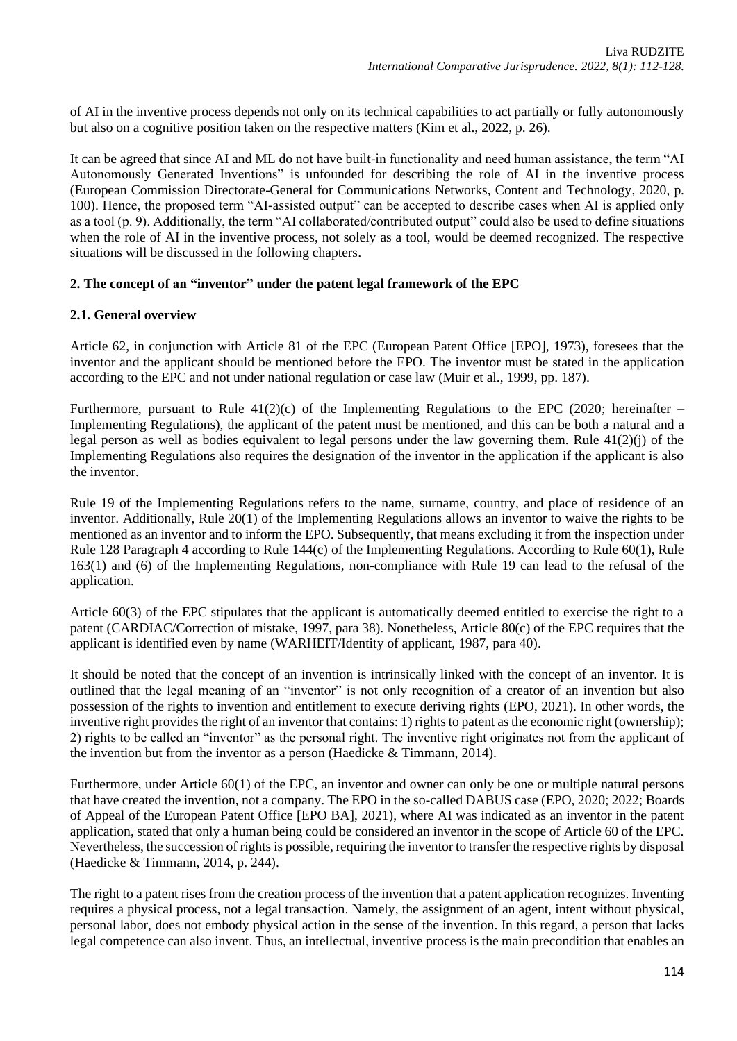of AI in the inventive process depends not only on its technical capabilities to act partially or fully autonomously but also on a cognitive position taken on the respective matters (Kim et al., 2022, p. 26).

It can be agreed that since AI and ML do not have built-in functionality and need human assistance, the term "AI Autonomously Generated Inventions" is unfounded for describing the role of AI in the inventive process (European Commission Directorate-General for Communications Networks, Content and Technology, 2020, p. 100). Hence, the proposed term "AI-assisted output" can be accepted to describe cases when AI is applied only as a tool (p. 9). Additionally, the term "AI collaborated/contributed output" could also be used to define situations when the role of AI in the inventive process, not solely as a tool, would be deemed recognized. The respective situations will be discussed in the following chapters.

# **2. The concept of an "inventor" under the patent legal framework of the EPC**

### **2.1. General overview**

Article 62, in conjunction with Article 81 of the EPC (European Patent Office [EPO], 1973), foresees that the inventor and the applicant should be mentioned before the EPO. The inventor must be stated in the application according to the EPC and not under national regulation or case law (Muir et al., 1999, pp. 187).

Furthermore, pursuant to Rule  $41(2)(c)$  of the Implementing Regulations to the EPC (2020; hereinafter – Implementing Regulations), the applicant of the patent must be mentioned, and this can be both a natural and a legal person as well as bodies equivalent to legal persons under the law governing them. Rule 41(2)(j) of the Implementing Regulations also requires the designation of the inventor in the application if the applicant is also the inventor.

Rule 19 of the Implementing Regulations refers to the name, surname, country, and place of residence of an inventor. Additionally, Rule 20(1) of the Implementing Regulations allows an inventor to waive the rights to be mentioned as an inventor and to inform the EPO. Subsequently, that means excluding it from the inspection under Rule 128 Paragraph 4 according to Rule 144(c) of the Implementing Regulations. According to Rule 60(1), Rule 163(1) and (6) of the Implementing Regulations, non-compliance with Rule 19 can lead to the refusal of the application.

Article 60(3) of the EPC stipulates that the applicant is automatically deemed entitled to exercise the right to a patent (CARDIAC/Correction of mistake, 1997, para 38). Nonetheless, Article 80(c) of the EPC requires that the applicant is identified even by name (WARHEIT/Identity of applicant, 1987, para 40).

It should be noted that the concept of an invention is intrinsically linked with the concept of an inventor. It is outlined that the legal meaning of an "inventor" is not only recognition of a creator of an invention but also possession of the rights to invention and entitlement to execute deriving rights (EPO, 2021). In other words, the inventive right provides the right of an inventor that contains: 1) rights to patent as the economic right (ownership); 2) rights to be called an "inventor" as the personal right. The inventive right originates not from the applicant of the invention but from the inventor as a person (Haedicke & Timmann, 2014).

Furthermore, under Article 60(1) of the EPC, an inventor and owner can only be one or multiple natural persons that have created the invention, not a company. The EPO in the so-called DABUS case (EPO, 2020; 2022; Boards of Appeal of the European Patent Office [EPO BA], 2021), where AI was indicated as an inventor in the patent application, stated that only a human being could be considered an inventor in the scope of Article 60 of the EPC. Nevertheless, the succession of rights is possible, requiring the inventor to transfer the respective rights by disposal (Haedicke & Timmann, 2014, p. 244).

The right to a patent rises from the creation process of the invention that a patent application recognizes. Inventing requires a physical process, not a legal transaction. Namely, the assignment of an agent, intent without physical, personal labor, does not embody physical action in the sense of the invention. In this regard, a person that lacks legal competence can also invent. Thus, an intellectual, inventive process is the main precondition that enables an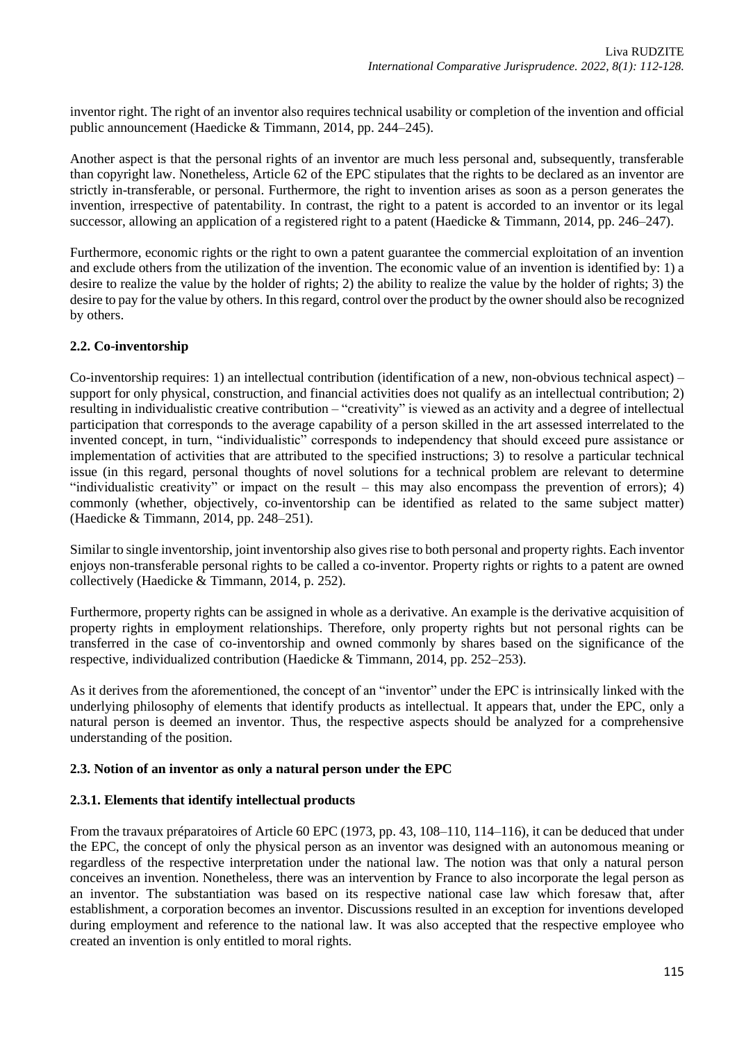inventor right. The right of an inventor also requires technical usability or completion of the invention and official public announcement (Haedicke & Timmann, 2014, pp. 244–245).

Another aspect is that the personal rights of an inventor are much less personal and, subsequently, transferable than copyright law. Nonetheless, Article 62 of the EPC stipulates that the rights to be declared as an inventor are strictly in-transferable, or personal. Furthermore, the right to invention arises as soon as a person generates the invention, irrespective of patentability. In contrast, the right to a patent is accorded to an inventor or its legal successor, allowing an application of a registered right to a patent (Haedicke & Timmann, 2014, pp. 246–247).

Furthermore, economic rights or the right to own a patent guarantee the commercial exploitation of an invention and exclude others from the utilization of the invention. The economic value of an invention is identified by: 1) a desire to realize the value by the holder of rights; 2) the ability to realize the value by the holder of rights; 3) the desire to pay for the value by others. In this regard, control over the product by the owner should also be recognized by others.

# **2.2. Co-inventorship**

Co-inventorship requires: 1) an intellectual contribution (identification of a new, non-obvious technical aspect) – support for only physical, construction, and financial activities does not qualify as an intellectual contribution; 2) resulting in individualistic creative contribution – "creativity" is viewed as an activity and a degree of intellectual participation that corresponds to the average capability of a person skilled in the art assessed interrelated to the invented concept, in turn, "individualistic" corresponds to independency that should exceed pure assistance or implementation of activities that are attributed to the specified instructions; 3) to resolve a particular technical issue (in this regard, personal thoughts of novel solutions for a technical problem are relevant to determine "individualistic creativity" or impact on the result – this may also encompass the prevention of errors); 4) commonly (whether, objectively, co-inventorship can be identified as related to the same subject matter) (Haedicke & Timmann, 2014, pp. 248–251).

Similar to single inventorship, joint inventorship also gives rise to both personal and property rights. Each inventor enjoys non-transferable personal rights to be called a co-inventor. Property rights or rights to a patent are owned collectively (Haedicke & Timmann, 2014, p. 252).

Furthermore, property rights can be assigned in whole as a derivative. An example is the derivative acquisition of property rights in employment relationships. Therefore, only property rights but not personal rights can be transferred in the case of co-inventorship and owned commonly by shares based on the significance of the respective, individualized contribution (Haedicke & Timmann, 2014, pp. 252–253).

As it derives from the aforementioned, the concept of an "inventor" under the EPC is intrinsically linked with the underlying philosophy of elements that identify products as intellectual. It appears that, under the EPC, only a natural person is deemed an inventor. Thus, the respective aspects should be analyzed for a comprehensive understanding of the position.

# **2.3. Notion of an inventor as only a natural person under the EPC**

# **2.3.1. Elements that identify intellectual products**

From the travaux préparatoires of Article 60 EPC (1973, pp. 43, 108–110, 114–116), it can be deduced that under the EPC, the concept of only the physical person as an inventor was designed with an autonomous meaning or regardless of the respective interpretation under the national law. The notion was that only a natural person conceives an invention. Nonetheless, there was an intervention by France to also incorporate the legal person as an inventor. The substantiation was based on its respective national case law which foresaw that, after establishment, a corporation becomes an inventor. Discussions resulted in an exception for inventions developed during employment and reference to the national law. It was also accepted that the respective employee who created an invention is only entitled to moral rights.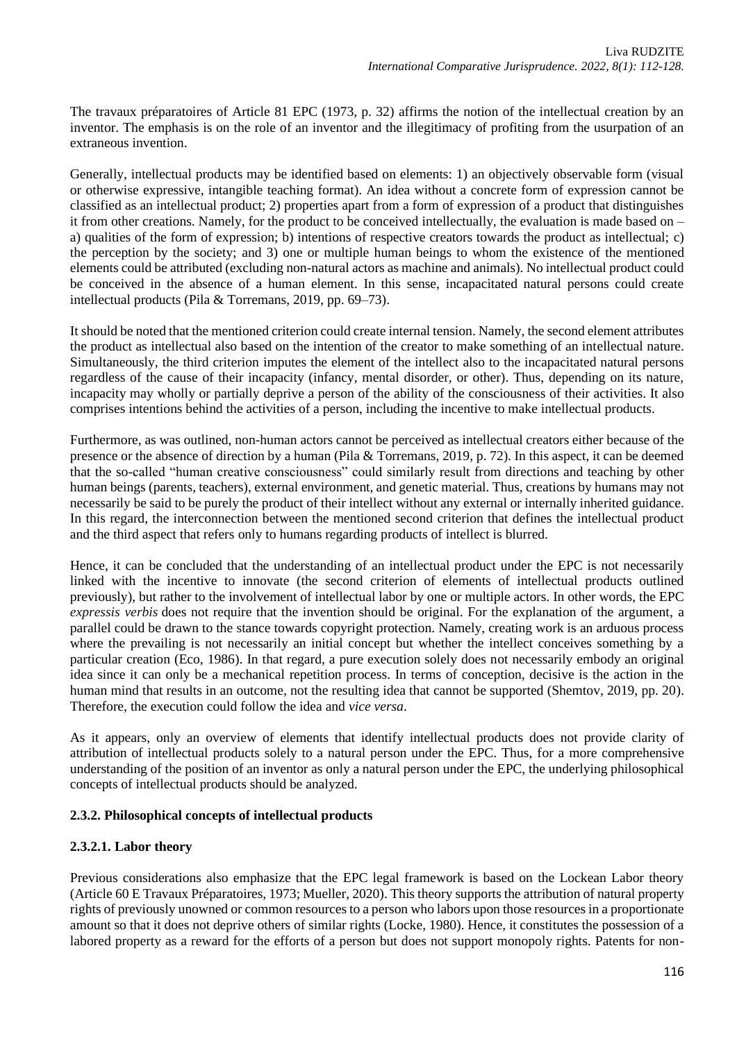The travaux préparatoires of Article 81 EPC (1973, p. 32) affirms the notion of the intellectual creation by an inventor. The emphasis is on the role of an inventor and the illegitimacy of profiting from the usurpation of an extraneous invention.

Generally, intellectual products may be identified based on elements: 1) an objectively observable form (visual or otherwise expressive, intangible teaching format). An idea without a concrete form of expression cannot be classified as an intellectual product; 2) properties apart from a form of expression of a product that distinguishes it from other creations. Namely, for the product to be conceived intellectually, the evaluation is made based on – a) qualities of the form of expression; b) intentions of respective creators towards the product as intellectual; c) the perception by the society; and 3) one or multiple human beings to whom the existence of the mentioned elements could be attributed (excluding non-natural actors as machine and animals). No intellectual product could be conceived in the absence of a human element. In this sense, incapacitated natural persons could create intellectual products (Pila & Torremans, 2019, pp. 69–73).

It should be noted that the mentioned criterion could create internal tension. Namely, the second element attributes the product as intellectual also based on the intention of the creator to make something of an intellectual nature. Simultaneously, the third criterion imputes the element of the intellect also to the incapacitated natural persons regardless of the cause of their incapacity (infancy, mental disorder, or other). Thus, depending on its nature, incapacity may wholly or partially deprive a person of the ability of the consciousness of their activities. It also comprises intentions behind the activities of a person, including the incentive to make intellectual products.

Furthermore, as was outlined, non-human actors cannot be perceived as intellectual creators either because of the presence or the absence of direction by a human (Pila & Torremans, 2019, p. 72). In this aspect, it can be deemed that the so-called "human creative consciousness" could similarly result from directions and teaching by other human beings (parents, teachers), external environment, and genetic material. Thus, creations by humans may not necessarily be said to be purely the product of their intellect without any external or internally inherited guidance. In this regard, the interconnection between the mentioned second criterion that defines the intellectual product and the third aspect that refers only to humans regarding products of intellect is blurred.

Hence, it can be concluded that the understanding of an intellectual product under the EPC is not necessarily linked with the incentive to innovate (the second criterion of elements of intellectual products outlined previously), but rather to the involvement of intellectual labor by one or multiple actors. In other words, the EPC *expressis verbis* does not require that the invention should be original. For the explanation of the argument, a parallel could be drawn to the stance towards copyright protection. Namely, creating work is an arduous process where the prevailing is not necessarily an initial concept but whether the intellect conceives something by a particular creation (Eco, 1986). In that regard, a pure execution solely does not necessarily embody an original idea since it can only be a mechanical repetition process. In terms of conception, decisive is the action in the human mind that results in an outcome, not the resulting idea that cannot be supported (Shemtov, 2019, pp. 20). Therefore, the execution could follow the idea and *vice versa*.

As it appears, only an overview of elements that identify intellectual products does not provide clarity of attribution of intellectual products solely to a natural person under the EPC. Thus, for a more comprehensive understanding of the position of an inventor as only a natural person under the EPC, the underlying philosophical concepts of intellectual products should be analyzed.

# **2.3.2. Philosophical concepts of intellectual products**

#### **2.3.2.1. Labor theory**

Previous considerations also emphasize that the EPC legal framework is based on the Lockean Labor theory (Article 60 E Travaux Préparatoires, 1973; Mueller, 2020). This theory supports the attribution of natural property rights of previously unowned or common resources to a person who labors upon those resources in a proportionate amount so that it does not deprive others of similar rights (Locke, 1980). Hence, it constitutes the possession of a labored property as a reward for the efforts of a person but does not support monopoly rights. Patents for non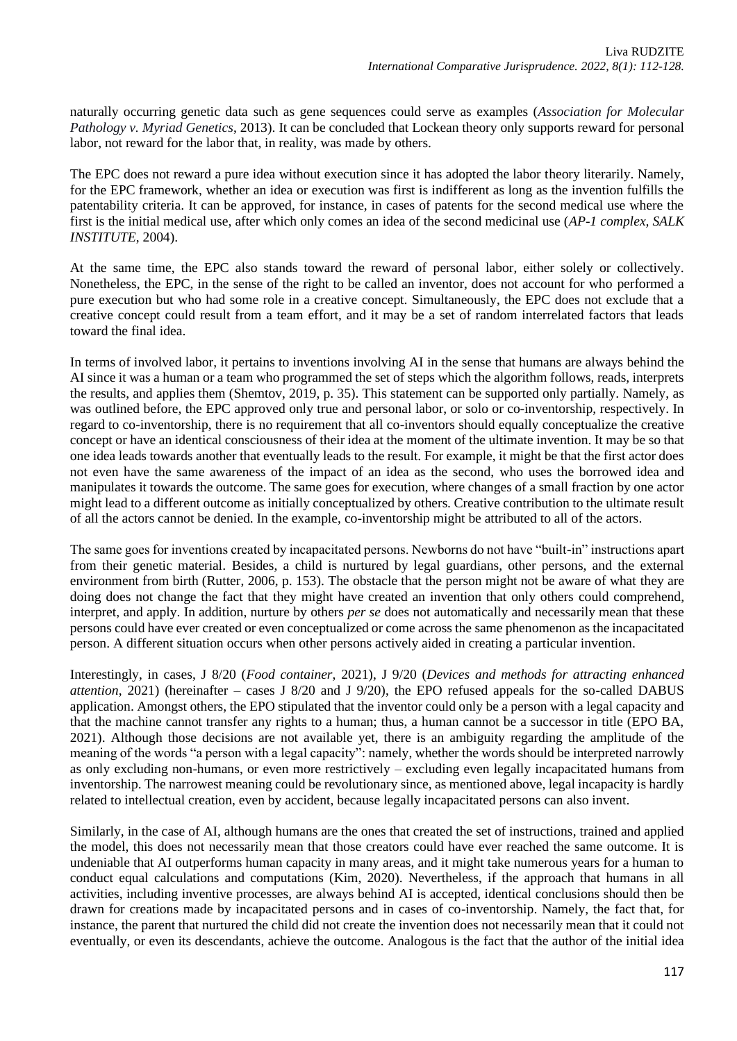naturally occurring genetic data such as gene sequences could serve as examples (*Association for Molecular Pathology v. Myriad Genetics*, 2013). It can be concluded that Lockean theory only supports reward for personal labor, not reward for the labor that, in reality, was made by others.

The EPC does not reward a pure idea without execution since it has adopted the labor theory literarily. Namely, for the EPC framework, whether an idea or execution was first is indifferent as long as the invention fulfills the patentability criteria. It can be approved, for instance, in cases of patents for the second medical use where the first is the initial medical use, after which only comes an idea of the second medicinal use (*AP-1 complex, SALK INSTITUTE*, 2004).

At the same time, the EPC also stands toward the reward of personal labor, either solely or collectively. Nonetheless, the EPC, in the sense of the right to be called an inventor, does not account for who performed a pure execution but who had some role in a creative concept. Simultaneously, the EPC does not exclude that a creative concept could result from a team effort, and it may be a set of random interrelated factors that leads toward the final idea.

In terms of involved labor, it pertains to inventions involving AI in the sense that humans are always behind the AI since it was a human or a team who programmed the set of steps which the algorithm follows, reads, interprets the results, and applies them (Shemtov, 2019, p. 35). This statement can be supported only partially. Namely, as was outlined before, the EPC approved only true and personal labor, or solo or co-inventorship, respectively. In regard to co-inventorship, there is no requirement that all co-inventors should equally conceptualize the creative concept or have an identical consciousness of their idea at the moment of the ultimate invention. It may be so that one idea leads towards another that eventually leads to the result. For example, it might be that the first actor does not even have the same awareness of the impact of an idea as the second, who uses the borrowed idea and manipulates it towards the outcome. The same goes for execution, where changes of a small fraction by one actor might lead to a different outcome as initially conceptualized by others. Creative contribution to the ultimate result of all the actors cannot be denied. In the example, co-inventorship might be attributed to all of the actors.

The same goes for inventions created by incapacitated persons. Newborns do not have "built-in" instructions apart from their genetic material. Besides, a child is nurtured by legal guardians, other persons, and the external environment from birth (Rutter, 2006, p. 153). The obstacle that the person might not be aware of what they are doing does not change the fact that they might have created an invention that only others could comprehend, interpret, and apply. In addition, nurture by others *per se* does not automatically and necessarily mean that these persons could have ever created or even conceptualized or come across the same phenomenon as the incapacitated person. A different situation occurs when other persons actively aided in creating a particular invention.

Interestingly, in cases, J 8/20 (*Food container*, 2021), J 9/20 (*Devices and methods for attracting enhanced attention*, 2021) (hereinafter – cases J 8/20 and J 9/20), the EPO refused appeals for the so-called DABUS application. Amongst others, the EPO stipulated that the inventor could only be a person with a legal capacity and that the machine cannot transfer any rights to a human; thus, a human cannot be a successor in title (EPO BA, 2021). Although those decisions are not available yet, there is an ambiguity regarding the amplitude of the meaning of the words "a person with a legal capacity": namely, whether the words should be interpreted narrowly as only excluding non-humans, or even more restrictively – excluding even legally incapacitated humans from inventorship. The narrowest meaning could be revolutionary since, as mentioned above, legal incapacity is hardly related to intellectual creation, even by accident, because legally incapacitated persons can also invent.

Similarly, in the case of AI, although humans are the ones that created the set of instructions, trained and applied the model, this does not necessarily mean that those creators could have ever reached the same outcome. It is undeniable that AI outperforms human capacity in many areas, and it might take numerous years for a human to conduct equal calculations and computations (Kim, 2020). Nevertheless, if the approach that humans in all activities, including inventive processes, are always behind AI is accepted, identical conclusions should then be drawn for creations made by incapacitated persons and in cases of co-inventorship. Namely, the fact that, for instance, the parent that nurtured the child did not create the invention does not necessarily mean that it could not eventually, or even its descendants, achieve the outcome. Analogous is the fact that the author of the initial idea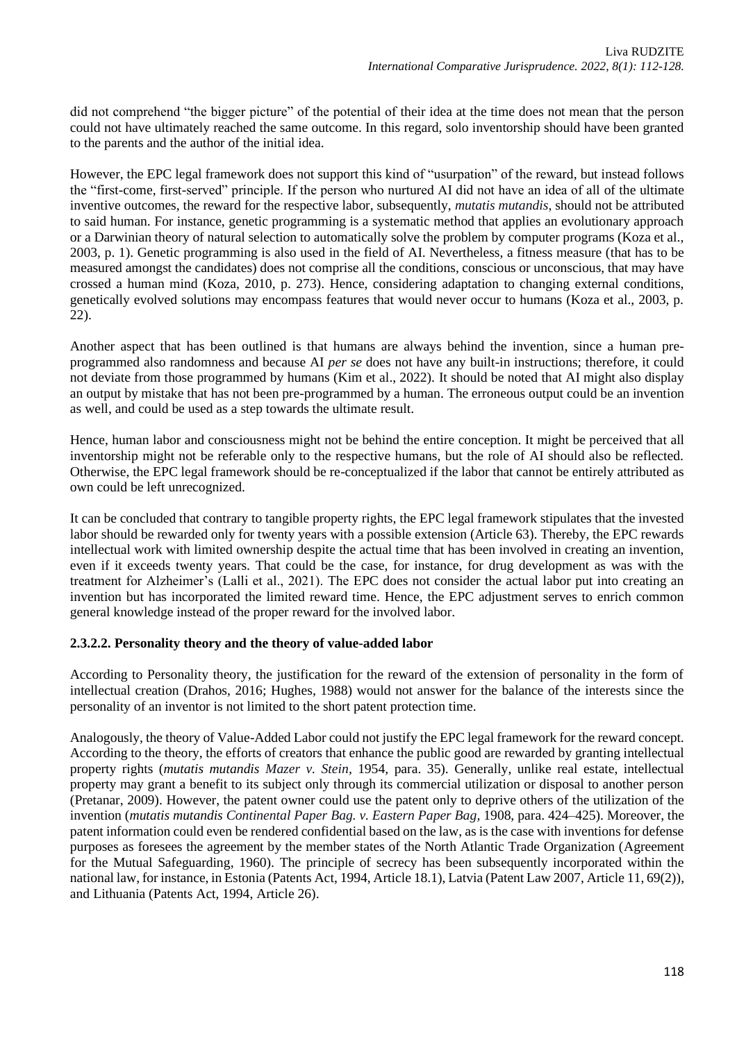did not comprehend "the bigger picture" of the potential of their idea at the time does not mean that the person could not have ultimately reached the same outcome. In this regard, solo inventorship should have been granted to the parents and the author of the initial idea.

However, the EPC legal framework does not support this kind of "usurpation" of the reward, but instead follows the "first-come, first-served" principle. If the person who nurtured AI did not have an idea of all of the ultimate inventive outcomes, the reward for the respective labor, subsequently, *mutatis mutandis*, should not be attributed to said human. For instance, genetic programming is a systematic method that applies an evolutionary approach or a Darwinian theory of natural selection to automatically solve the problem by computer programs (Koza et al., 2003, p. 1). Genetic programming is also used in the field of AI. Nevertheless, a fitness measure (that has to be measured amongst the candidates) does not comprise all the conditions, conscious or unconscious, that may have crossed a human mind (Koza, 2010, p. 273). Hence, considering adaptation to changing external conditions, genetically evolved solutions may encompass features that would never occur to humans (Koza et al., 2003, p. 22).

Another aspect that has been outlined is that humans are always behind the invention, since a human preprogrammed also randomness and because AI *per se* does not have any built-in instructions; therefore, it could not deviate from those programmed by humans (Kim et al., 2022). It should be noted that AI might also display an output by mistake that has not been pre-programmed by a human. The erroneous output could be an invention as well, and could be used as a step towards the ultimate result.

Hence, human labor and consciousness might not be behind the entire conception. It might be perceived that all inventorship might not be referable only to the respective humans, but the role of AI should also be reflected. Otherwise, the EPC legal framework should be re-conceptualized if the labor that cannot be entirely attributed as own could be left unrecognized.

It can be concluded that contrary to tangible property rights, the EPC legal framework stipulates that the invested labor should be rewarded only for twenty years with a possible extension (Article 63). Thereby, the EPC rewards intellectual work with limited ownership despite the actual time that has been involved in creating an invention, even if it exceeds twenty years. That could be the case, for instance, for drug development as was with the treatment for Alzheimer's (Lalli et al., 2021). The EPC does not consider the actual labor put into creating an invention but has incorporated the limited reward time. Hence, the EPC adjustment serves to enrich common general knowledge instead of the proper reward for the involved labor.

# **2.3.2.2. Personality theory and the theory of value-added labor**

According to Personality theory, the justification for the reward of the extension of personality in the form of intellectual creation (Drahos, 2016; Hughes, 1988) would not answer for the balance of the interests since the personality of an inventor is not limited to the short patent protection time.

Analogously, the theory of Value-Added Labor could not justify the EPC legal framework for the reward concept. According to the theory, the efforts of creators that enhance the public good are rewarded by granting intellectual property rights (*mutatis mutandis Mazer v. Stein,* 1954, para. 35). Generally, unlike real estate, intellectual property may grant a benefit to its subject only through its commercial utilization or disposal to another person (Pretanar, 2009). However, the patent owner could use the patent only to deprive others of the utilization of the invention (*mutatis mutandis Continental Paper Bag. v. Eastern Paper Bag,* 1908, para. 424–425). Moreover, the patent information could even be rendered confidential based on the law, as is the case with inventions for defense purposes as foresees the agreement by the member states of the North Atlantic Trade Organization (Agreement for the Mutual Safeguarding, 1960). The principle of secrecy has been subsequently incorporated within the national law, for instance, in Estonia (Patents Act, 1994, Article 18.1), Latvia (Patent Law 2007, Article 11, 69(2)), and Lithuania (Patents Act, 1994, Article 26).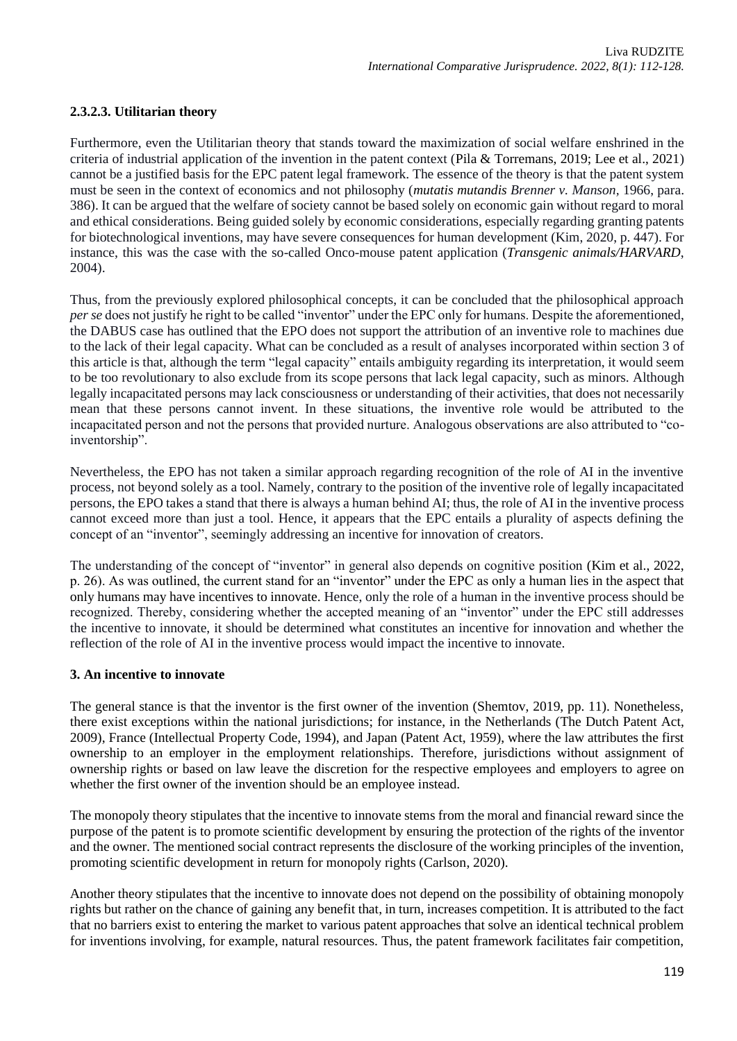# **2.3.2.3. Utilitarian theory**

Furthermore, even the Utilitarian theory that stands toward the maximization of social welfare enshrined in the criteria of industrial application of the invention in the patent context (Pila & Torremans, 2019; Lee et al., 2021) cannot be a justified basis for the EPC patent legal framework. The essence of the theory is that the patent system must be seen in the context of economics and not philosophy (*mutatis mutandis Brenner v. Manson,* 1966, para. 386). It can be argued that the welfare of society cannot be based solely on economic gain without regard to moral and ethical considerations. Being guided solely by economic considerations, especially regarding granting patents for biotechnological inventions, may have severe consequences for human development (Kim, 2020, p. 447). For instance, this was the case with the so-called Onco-mouse patent application (*Transgenic animals/HARVARD*, 2004).

Thus, from the previously explored philosophical concepts, it can be concluded that the philosophical approach *per se* does not justify he right to be called "inventor" under the EPC only for humans. Despite the aforementioned, the DABUS case has outlined that the EPO does not support the attribution of an inventive role to machines due to the lack of their legal capacity. What can be concluded as a result of analyses incorporated within section 3 of this article is that, although the term "legal capacity" entails ambiguity regarding its interpretation, it would seem to be too revolutionary to also exclude from its scope persons that lack legal capacity, such as minors. Although legally incapacitated persons may lack consciousness or understanding of their activities, that does not necessarily mean that these persons cannot invent. In these situations, the inventive role would be attributed to the incapacitated person and not the persons that provided nurture. Analogous observations are also attributed to "coinventorship".

Nevertheless, the EPO has not taken a similar approach regarding recognition of the role of AI in the inventive process, not beyond solely as a tool. Namely, contrary to the position of the inventive role of legally incapacitated persons, the EPO takes a stand that there is always a human behind AI; thus, the role of AI in the inventive process cannot exceed more than just a tool. Hence, it appears that the EPC entails a plurality of aspects defining the concept of an "inventor", seemingly addressing an incentive for innovation of creators.

The understanding of the concept of "inventor" in general also depends on cognitive position (Kim et al., 2022, p. 26). As was outlined, the current stand for an "inventor" under the EPC as only a human lies in the aspect that only humans may have incentives to innovate. Hence, only the role of a human in the inventive process should be recognized. Thereby, considering whether the accepted meaning of an "inventor" under the EPC still addresses the incentive to innovate, it should be determined what constitutes an incentive for innovation and whether the reflection of the role of AI in the inventive process would impact the incentive to innovate.

# **3. An incentive to innovate**

The general stance is that the inventor is the first owner of the invention (Shemtov, 2019, pp. 11). Nonetheless, there exist exceptions within the national jurisdictions; for instance, in the Netherlands (The Dutch Patent Act, 2009), France (Intellectual Property Code, 1994), and Japan (Patent Act, 1959), where the law attributes the first ownership to an employer in the employment relationships. Therefore, jurisdictions without assignment of ownership rights or based on law leave the discretion for the respective employees and employers to agree on whether the first owner of the invention should be an employee instead.

The monopoly theory stipulates that the incentive to innovate stems from the moral and financial reward since the purpose of the patent is to promote scientific development by ensuring the protection of the rights of the inventor and the owner. The mentioned social contract represents the disclosure of the working principles of the invention, promoting scientific development in return for monopoly rights (Carlson, 2020).

Another theory stipulates that the incentive to innovate does not depend on the possibility of obtaining monopoly rights but rather on the chance of gaining any benefit that, in turn, increases competition. It is attributed to the fact that no barriers exist to entering the market to various patent approaches that solve an identical technical problem for inventions involving, for example, natural resources. Thus, the patent framework facilitates fair competition,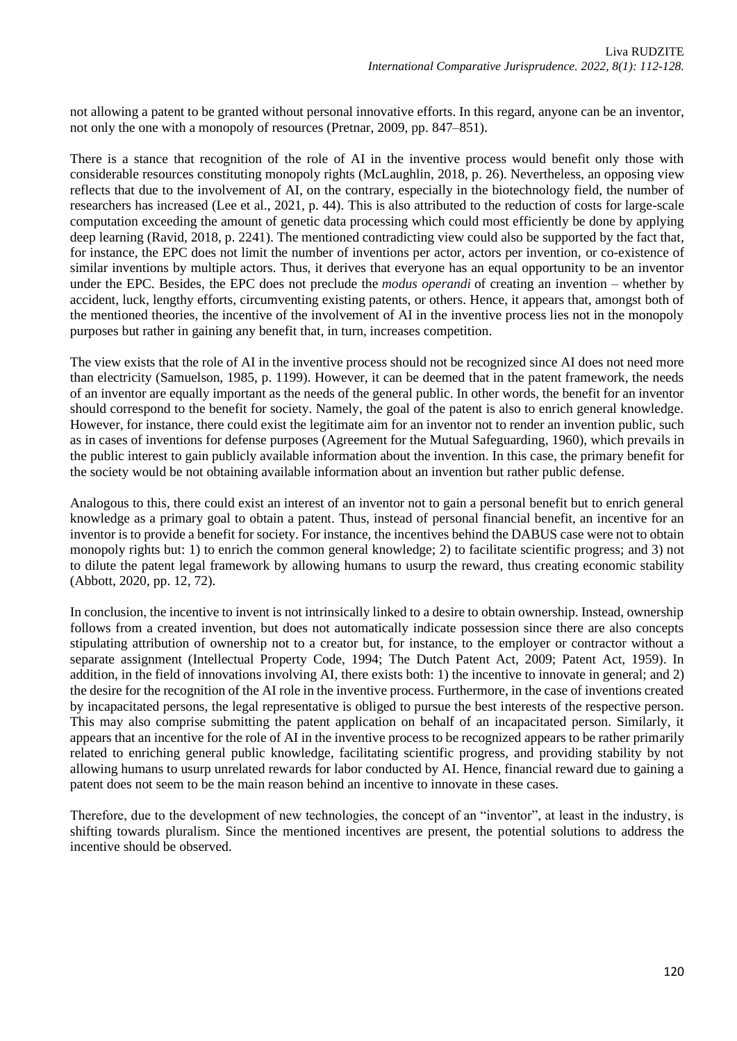not allowing a patent to be granted without personal innovative efforts. In this regard, anyone can be an inventor, not only the one with a monopoly of resources (Pretnar, 2009, pp. 847–851).

There is a stance that recognition of the role of AI in the inventive process would benefit only those with considerable resources constituting monopoly rights (McLaughlin, 2018, p. 26). Nevertheless, an opposing view reflects that due to the involvement of AI, on the contrary, especially in the biotechnology field, the number of researchers has increased (Lee et al., 2021, p. 44). This is also attributed to the reduction of costs for large-scale computation exceeding the amount of genetic data processing which could most efficiently be done by applying deep learning (Ravid, 2018, p. 2241). The mentioned contradicting view could also be supported by the fact that, for instance, the EPC does not limit the number of inventions per actor, actors per invention, or co-existence of similar inventions by multiple actors. Thus, it derives that everyone has an equal opportunity to be an inventor under the EPC. Besides, the EPC does not preclude the *modus operandi* of creating an invention – whether by accident, luck, lengthy efforts, circumventing existing patents, or others. Hence, it appears that, amongst both of the mentioned theories, the incentive of the involvement of AI in the inventive process lies not in the monopoly purposes but rather in gaining any benefit that, in turn, increases competition.

The view exists that the role of AI in the inventive process should not be recognized since AI does not need more than electricity (Samuelson, 1985, p. 1199). However, it can be deemed that in the patent framework, the needs of an inventor are equally important as the needs of the general public. In other words, the benefit for an inventor should correspond to the benefit for society. Namely, the goal of the patent is also to enrich general knowledge. However, for instance, there could exist the legitimate aim for an inventor not to render an invention public, such as in cases of inventions for defense purposes (Agreement for the Mutual Safeguarding, 1960), which prevails in the public interest to gain publicly available information about the invention. In this case, the primary benefit for the society would be not obtaining available information about an invention but rather public defense.

Analogous to this, there could exist an interest of an inventor not to gain a personal benefit but to enrich general knowledge as a primary goal to obtain a patent. Thus, instead of personal financial benefit, an incentive for an inventor is to provide a benefit for society. For instance, the incentives behind the DABUS case were not to obtain monopoly rights but: 1) to enrich the common general knowledge; 2) to facilitate scientific progress; and 3) not to dilute the patent legal framework by allowing humans to usurp the reward, thus creating economic stability (Abbott, 2020, pp. 12, 72).

In conclusion, the incentive to invent is not intrinsically linked to a desire to obtain ownership. Instead, ownership follows from a created invention, but does not automatically indicate possession since there are also concepts stipulating attribution of ownership not to a creator but, for instance, to the employer or contractor without a separate assignment (Intellectual Property Code, 1994; The Dutch Patent Act, 2009; Patent Act, 1959). In addition, in the field of innovations involving AI, there exists both: 1) the incentive to innovate in general; and 2) the desire for the recognition of the AI role in the inventive process. Furthermore, in the case of inventions created by incapacitated persons, the legal representative is obliged to pursue the best interests of the respective person. This may also comprise submitting the patent application on behalf of an incapacitated person. Similarly, it appears that an incentive for the role of AI in the inventive process to be recognized appears to be rather primarily related to enriching general public knowledge, facilitating scientific progress, and providing stability by not allowing humans to usurp unrelated rewards for labor conducted by AI. Hence, financial reward due to gaining a patent does not seem to be the main reason behind an incentive to innovate in these cases.

Therefore, due to the development of new technologies, the concept of an "inventor", at least in the industry, is shifting towards pluralism. Since the mentioned incentives are present, the potential solutions to address the incentive should be observed.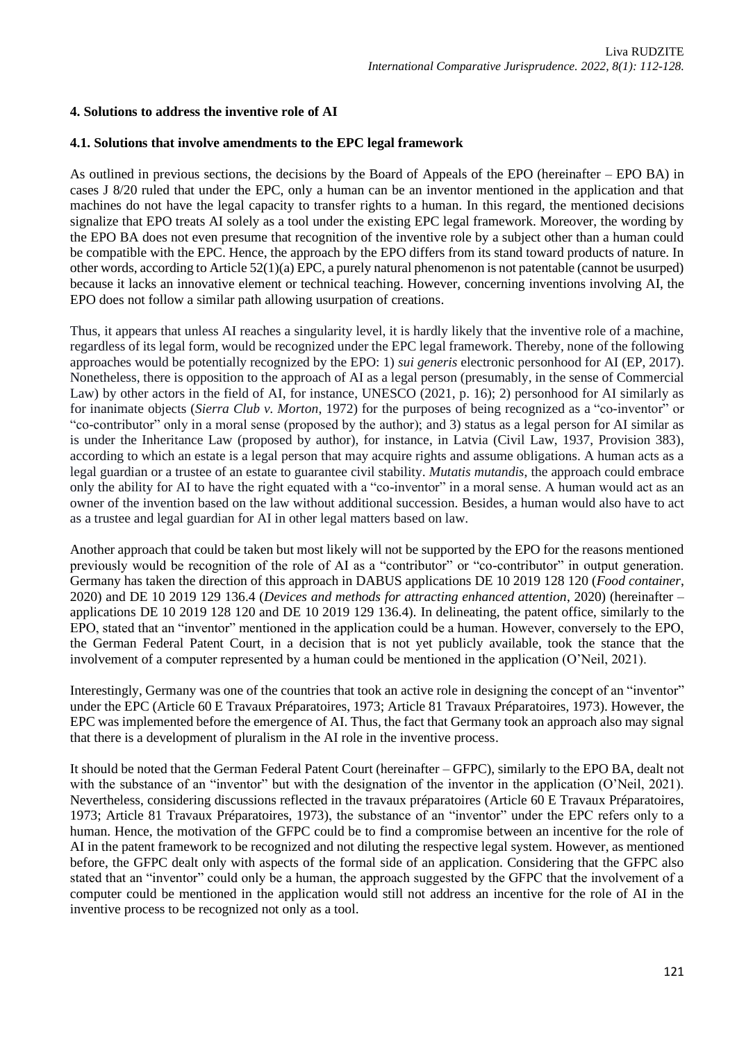# **4. Solutions to address the inventive role of AI**

### **4.1. Solutions that involve amendments to the EPC legal framework**

As outlined in previous sections, the decisions by the Board of Appeals of the EPO (hereinafter – EPO BA) in cases J 8/20 ruled that under the EPC, only a human can be an inventor mentioned in the application and that machines do not have the legal capacity to transfer rights to a human. In this regard, the mentioned decisions signalize that EPO treats AI solely as a tool under the existing EPC legal framework. Moreover, the wording by the EPO BA does not even presume that recognition of the inventive role by a subject other than a human could be compatible with the EPC. Hence, the approach by the EPO differs from its stand toward products of nature. In other words, according to Article 52(1)(a) EPC, a purely natural phenomenon is not patentable (cannot be usurped) because it lacks an innovative element or technical teaching. However, concerning inventions involving AI, the EPO does not follow a similar path allowing usurpation of creations.

Thus, it appears that unless AI reaches a singularity level, it is hardly likely that the inventive role of a machine, regardless of its legal form, would be recognized under the EPC legal framework. Thereby, none of the following approaches would be potentially recognized by the EPO: 1) *sui generis* electronic personhood for AI (EP, 2017). Nonetheless, there is opposition to the approach of AI as a legal person (presumably, in the sense of Commercial Law) by other actors in the field of AI, for instance, UNESCO (2021, p. 16); 2) personhood for AI similarly as for inanimate objects (*Sierra Club v. Morton*, 1972) for the purposes of being recognized as a "co-inventor" or "co-contributor" only in a moral sense (proposed by the author); and 3) status as a legal person for AI similar as is under the Inheritance Law (proposed by author), for instance, in Latvia (Civil Law, 1937, Provision 383), according to which an estate is a legal person that may acquire rights and assume obligations. A human acts as a legal guardian or a trustee of an estate to guarantee civil stability. *Mutatis mutandis*, the approach could embrace only the ability for AI to have the right equated with a "co-inventor" in a moral sense. A human would act as an owner of the invention based on the law without additional succession. Besides, a human would also have to act as a trustee and legal guardian for AI in other legal matters based on law.

Another approach that could be taken but most likely will not be supported by the EPO for the reasons mentioned previously would be recognition of the role of AI as a "contributor" or "co-contributor" in output generation. Germany has taken the direction of this approach in DABUS applications DE 10 2019 128 120 (*Food container*, 2020) and DE 10 2019 129 136.4 (*Devices and methods for attracting enhanced attention*, 2020) (hereinafter – applications DE 10 2019 128 120 and DE 10 2019 129 136.4). In delineating, the patent office, similarly to the EPO, stated that an "inventor" mentioned in the application could be a human. However, conversely to the EPO, the German Federal Patent Court, in a decision that is not yet publicly available, took the stance that the involvement of a computer represented by a human could be mentioned in the application (O'Neil, 2021).

Interestingly, Germany was one of the countries that took an active role in designing the concept of an "inventor" under the EPC (Article 60 E Travaux Préparatoires, 1973; Article 81 Travaux Préparatoires, 1973). However, the EPC was implemented before the emergence of AI. Thus, the fact that Germany took an approach also may signal that there is a development of pluralism in the AI role in the inventive process.

It should be noted that the German Federal Patent Court (hereinafter – GFPC), similarly to the EPO BA, dealt not with the substance of an "inventor" but with the designation of the inventor in the application (O'Neil, 2021). Nevertheless, considering discussions reflected in the travaux préparatoires (Article 60 E Travaux Préparatoires, 1973; Article 81 Travaux Préparatoires, 1973), the substance of an "inventor" under the EPC refers only to a human. Hence, the motivation of the GFPC could be to find a compromise between an incentive for the role of AI in the patent framework to be recognized and not diluting the respective legal system. However, as mentioned before, the GFPC dealt only with aspects of the formal side of an application. Considering that the GFPC also stated that an "inventor" could only be a human, the approach suggested by the GFPC that the involvement of a computer could be mentioned in the application would still not address an incentive for the role of AI in the inventive process to be recognized not only as a tool.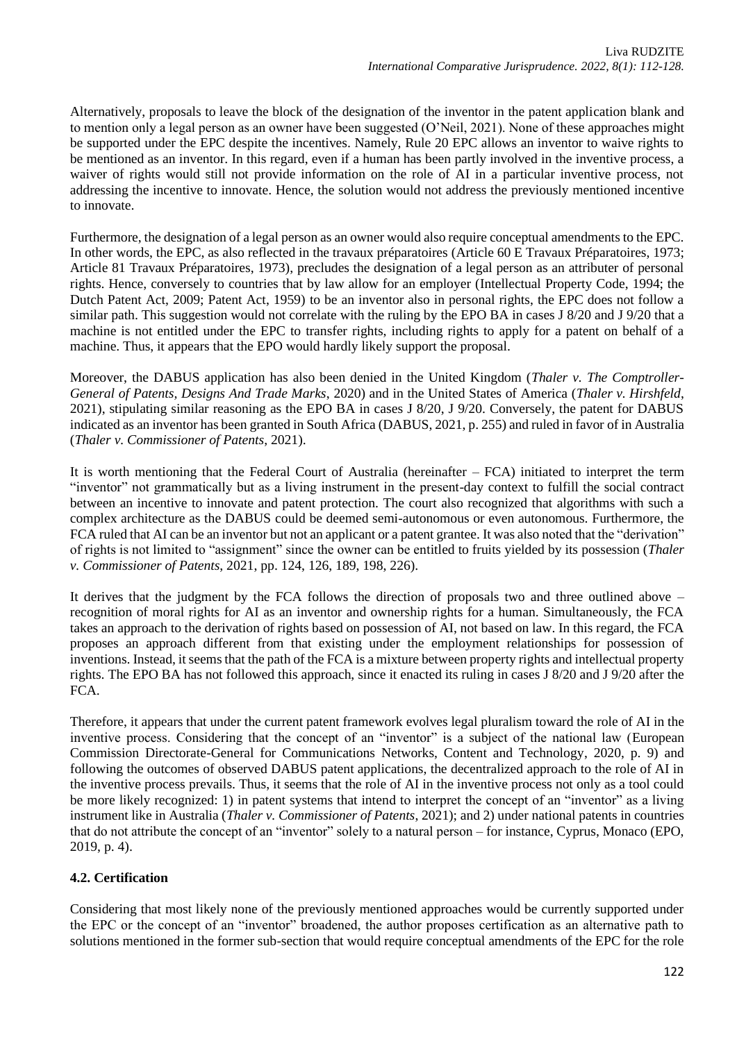Alternatively, proposals to leave the block of the designation of the inventor in the patent application blank and to mention only a legal person as an owner have been suggested (O'Neil, 2021). None of these approaches might be supported under the EPC despite the incentives. Namely, Rule 20 EPC allows an inventor to waive rights to be mentioned as an inventor. In this regard, even if a human has been partly involved in the inventive process, a waiver of rights would still not provide information on the role of AI in a particular inventive process, not addressing the incentive to innovate. Hence, the solution would not address the previously mentioned incentive to innovate.

Furthermore, the designation of a legal person as an owner would also require conceptual amendments to the EPC. In other words, the EPC, as also reflected in the travaux préparatoires (Article 60 E Travaux Préparatoires, 1973; Article 81 Travaux Préparatoires, 1973), precludes the designation of a legal person as an attributer of personal rights. Hence, conversely to countries that by law allow for an employer (Intellectual Property Code, 1994; the Dutch Patent Act, 2009; Patent Act, 1959) to be an inventor also in personal rights, the EPC does not follow a similar path. This suggestion would not correlate with the ruling by the EPO BA in cases J 8/20 and J 9/20 that a machine is not entitled under the EPC to transfer rights, including rights to apply for a patent on behalf of a machine. Thus, it appears that the EPO would hardly likely support the proposal.

Moreover, the DABUS application has also been denied in the United Kingdom (*Thaler v. The Comptroller-General of Patents, Designs And Trade Marks*, 2020) and in the United States of America (*Thaler v. Hirshfeld*, 2021), stipulating similar reasoning as the EPO BA in cases J 8/20, J 9/20. Conversely, the patent for DABUS indicated as an inventor has been granted in South Africa (DABUS, 2021, p. 255) and ruled in favor of in Australia (*Thaler v. Commissioner of Patents*, 2021).

It is worth mentioning that the Federal Court of Australia (hereinafter – FCA) initiated to interpret the term "inventor" not grammatically but as a living instrument in the present-day context to fulfill the social contract between an incentive to innovate and patent protection. The court also recognized that algorithms with such a complex architecture as the DABUS could be deemed semi-autonomous or even autonomous. Furthermore, the FCA ruled that AI can be an inventor but not an applicant or a patent grantee. It was also noted that the "derivation" of rights is not limited to "assignment" since the owner can be entitled to fruits yielded by its possession (*Thaler v. Commissioner of Patents*, 2021, pp. 124, 126, 189, 198, 226).

It derives that the judgment by the FCA follows the direction of proposals two and three outlined above – recognition of moral rights for AI as an inventor and ownership rights for a human. Simultaneously, the FCA takes an approach to the derivation of rights based on possession of AI, not based on law. In this regard, the FCA proposes an approach different from that existing under the employment relationships for possession of inventions. Instead, it seems that the path of the FCA is a mixture between property rights and intellectual property rights. The EPO BA has not followed this approach, since it enacted its ruling in cases J 8/20 and J 9/20 after the FCA.

Therefore, it appears that under the current patent framework evolves legal pluralism toward the role of AI in the inventive process. Considering that the concept of an "inventor" is a subject of the national law (European Commission Directorate-General for Communications Networks, Content and Technology, 2020, p. 9) and following the outcomes of observed DABUS patent applications, the decentralized approach to the role of AI in the inventive process prevails. Thus, it seems that the role of AI in the inventive process not only as a tool could be more likely recognized: 1) in patent systems that intend to interpret the concept of an "inventor" as a living instrument like in Australia (*Thaler v. Commissioner of Patents*, 2021); and 2) under national patents in countries that do not attribute the concept of an "inventor" solely to a natural person – for instance, Cyprus, Monaco (EPO, 2019, p. 4).

# **4.2. Certification**

Considering that most likely none of the previously mentioned approaches would be currently supported under the EPC or the concept of an "inventor" broadened, the author proposes certification as an alternative path to solutions mentioned in the former sub-section that would require conceptual amendments of the EPC for the role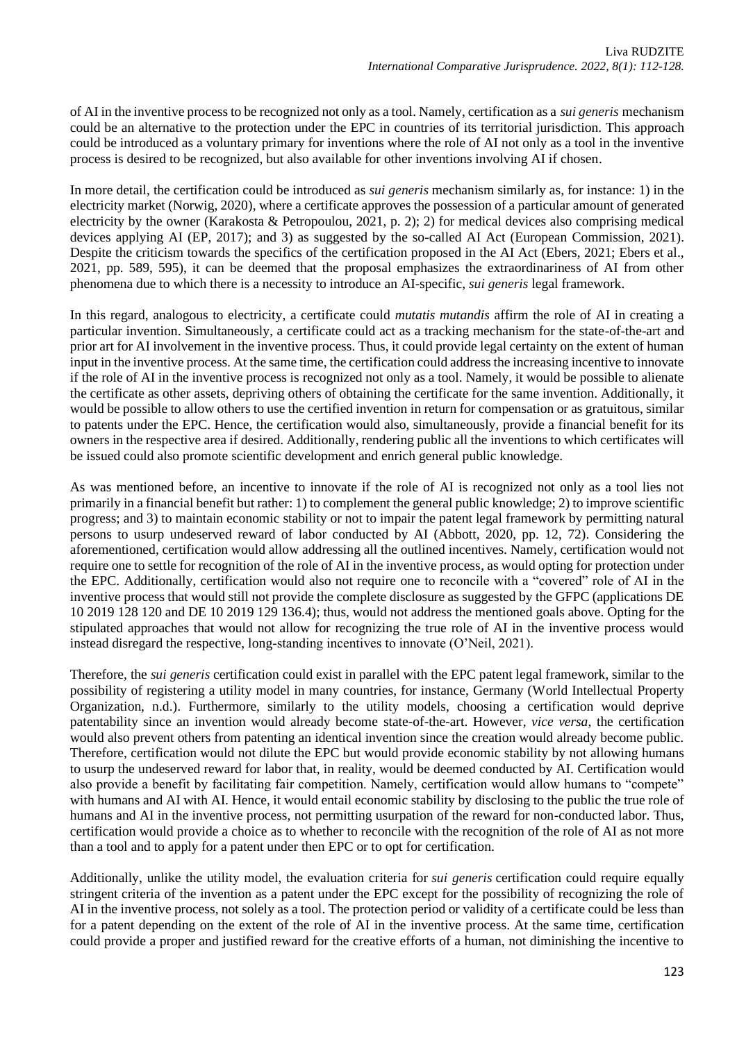of AI in the inventive process to be recognized not only as a tool. Namely, certification as a *sui generis* mechanism could be an alternative to the protection under the EPC in countries of its territorial jurisdiction. This approach could be introduced as a voluntary primary for inventions where the role of AI not only as a tool in the inventive process is desired to be recognized, but also available for other inventions involving AI if chosen.

In more detail, the certification could be introduced as *sui generis* mechanism similarly as, for instance: 1) in the electricity market (Norwig, 2020), where a certificate approves the possession of a particular amount of generated electricity by the owner (Karakosta & Petropoulou, 2021, p. 2); 2) for medical devices also comprising medical devices applying AI (EP, 2017); and 3) as suggested by the so-called AI Act (European Commission, 2021). Despite the criticism towards the specifics of the certification proposed in the AI Act (Ebers, 2021; Ebers et al., 2021, pp. 589, 595), it can be deemed that the proposal emphasizes the extraordinariness of AI from other phenomena due to which there is a necessity to introduce an AI-specific, *sui generis* legal framework.

In this regard, analogous to electricity, a certificate could *mutatis mutandis* affirm the role of AI in creating a particular invention. Simultaneously, a certificate could act as a tracking mechanism for the state-of-the-art and prior art for AI involvement in the inventive process. Thus, it could provide legal certainty on the extent of human input in the inventive process. At the same time, the certification could address the increasing incentive to innovate if the role of AI in the inventive process is recognized not only as a tool. Namely, it would be possible to alienate the certificate as other assets, depriving others of obtaining the certificate for the same invention. Additionally, it would be possible to allow others to use the certified invention in return for compensation or as gratuitous, similar to patents under the EPC. Hence, the certification would also, simultaneously, provide a financial benefit for its owners in the respective area if desired. Additionally, rendering public all the inventions to which certificates will be issued could also promote scientific development and enrich general public knowledge.

As was mentioned before, an incentive to innovate if the role of AI is recognized not only as a tool lies not primarily in a financial benefit but rather: 1) to complement the general public knowledge; 2) to improve scientific progress; and 3) to maintain economic stability or not to impair the patent legal framework by permitting natural persons to usurp undeserved reward of labor conducted by AI (Abbott, 2020, pp. 12, 72). Considering the aforementioned, certification would allow addressing all the outlined incentives. Namely, certification would not require one to settle for recognition of the role of AI in the inventive process, as would opting for protection under the EPC. Additionally, certification would also not require one to reconcile with a "covered" role of AI in the inventive process that would still not provide the complete disclosure as suggested by the GFPC (applications DE 10 2019 128 120 and DE 10 2019 129 136.4); thus, would not address the mentioned goals above. Opting for the stipulated approaches that would not allow for recognizing the true role of AI in the inventive process would instead disregard the respective, long-standing incentives to innovate (O'Neil, 2021).

Therefore, the *sui generis* certification could exist in parallel with the EPC patent legal framework, similar to the possibility of registering a utility model in many countries, for instance, Germany (World Intellectual Property Organization, n.d.). Furthermore, similarly to the utility models, choosing a certification would deprive patentability since an invention would already become state-of-the-art. However, *vice versa*, the certification would also prevent others from patenting an identical invention since the creation would already become public. Therefore, certification would not dilute the EPC but would provide economic stability by not allowing humans to usurp the undeserved reward for labor that, in reality, would be deemed conducted by AI. Certification would also provide a benefit by facilitating fair competition. Namely, certification would allow humans to "compete" with humans and AI with AI. Hence, it would entail economic stability by disclosing to the public the true role of humans and AI in the inventive process, not permitting usurpation of the reward for non-conducted labor. Thus, certification would provide a choice as to whether to reconcile with the recognition of the role of AI as not more than a tool and to apply for a patent under then EPC or to opt for certification.

Additionally, unlike the utility model, the evaluation criteria for *sui generis* certification could require equally stringent criteria of the invention as a patent under the EPC except for the possibility of recognizing the role of AI in the inventive process, not solely as a tool. The protection period or validity of a certificate could be less than for a patent depending on the extent of the role of AI in the inventive process. At the same time, certification could provide a proper and justified reward for the creative efforts of a human, not diminishing the incentive to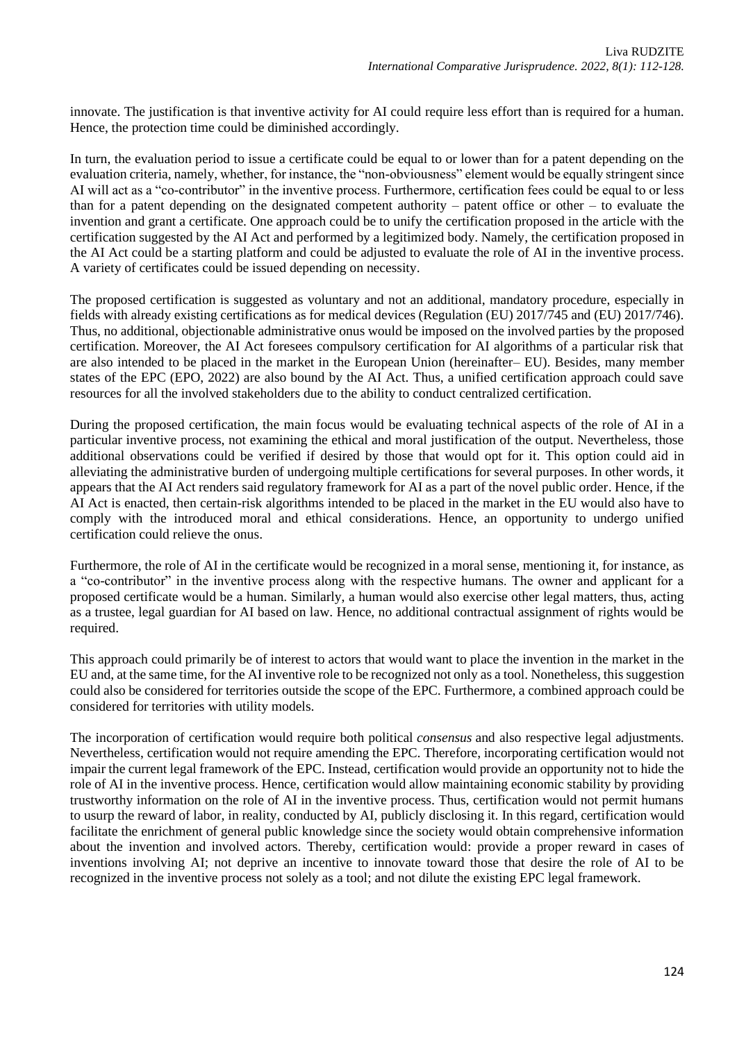innovate. The justification is that inventive activity for AI could require less effort than is required for a human. Hence, the protection time could be diminished accordingly.

In turn, the evaluation period to issue a certificate could be equal to or lower than for a patent depending on the evaluation criteria, namely, whether, for instance, the "non-obviousness" element would be equally stringent since AI will act as a "co-contributor" in the inventive process. Furthermore, certification fees could be equal to or less than for a patent depending on the designated competent authority – patent office or other – to evaluate the invention and grant a certificate. One approach could be to unify the certification proposed in the article with the certification suggested by the AI Act and performed by a legitimized body. Namely, the certification proposed in the AI Act could be a starting platform and could be adjusted to evaluate the role of AI in the inventive process. A variety of certificates could be issued depending on necessity.

The proposed certification is suggested as voluntary and not an additional, mandatory procedure, especially in fields with already existing certifications as for medical devices (Regulation (EU) 2017/745 and (EU) 2017/746). Thus, no additional, objectionable administrative onus would be imposed on the involved parties by the proposed certification. Moreover, the AI Act foresees compulsory certification for AI algorithms of a particular risk that are also intended to be placed in the market in the European Union (hereinafter– EU). Besides, many member states of the EPC (EPO, 2022) are also bound by the AI Act. Thus, a unified certification approach could save resources for all the involved stakeholders due to the ability to conduct centralized certification.

During the proposed certification, the main focus would be evaluating technical aspects of the role of AI in a particular inventive process, not examining the ethical and moral justification of the output. Nevertheless, those additional observations could be verified if desired by those that would opt for it. This option could aid in alleviating the administrative burden of undergoing multiple certifications for several purposes. In other words, it appears that the AI Act renders said regulatory framework for AI as a part of the novel public order. Hence, if the AI Act is enacted, then certain-risk algorithms intended to be placed in the market in the EU would also have to comply with the introduced moral and ethical considerations. Hence, an opportunity to undergo unified certification could relieve the onus.

Furthermore, the role of AI in the certificate would be recognized in a moral sense, mentioning it, for instance, as a "co-contributor" in the inventive process along with the respective humans. The owner and applicant for a proposed certificate would be a human. Similarly, a human would also exercise other legal matters, thus, acting as a trustee, legal guardian for AI based on law. Hence, no additional contractual assignment of rights would be required.

This approach could primarily be of interest to actors that would want to place the invention in the market in the EU and, at the same time, for the AI inventive role to be recognized not only as a tool. Nonetheless, this suggestion could also be considered for territories outside the scope of the EPC. Furthermore, a combined approach could be considered for territories with utility models.

The incorporation of certification would require both political *consensus* and also respective legal adjustments. Nevertheless, certification would not require amending the EPC. Therefore, incorporating certification would not impair the current legal framework of the EPC. Instead, certification would provide an opportunity not to hide the role of AI in the inventive process. Hence, certification would allow maintaining economic stability by providing trustworthy information on the role of AI in the inventive process. Thus, certification would not permit humans to usurp the reward of labor, in reality, conducted by AI, publicly disclosing it. In this regard, certification would facilitate the enrichment of general public knowledge since the society would obtain comprehensive information about the invention and involved actors. Thereby, certification would: provide a proper reward in cases of inventions involving AI; not deprive an incentive to innovate toward those that desire the role of AI to be recognized in the inventive process not solely as a tool; and not dilute the existing EPC legal framework.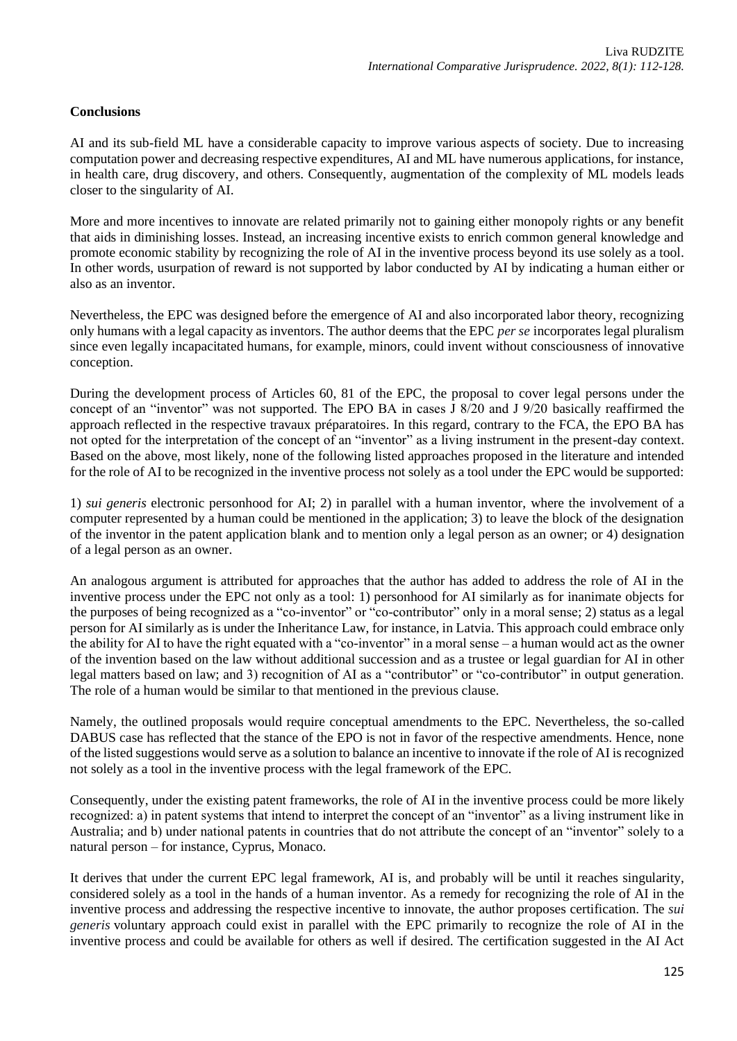# **Conclusions**

AI and its sub-field ML have a considerable capacity to improve various aspects of society. Due to increasing computation power and decreasing respective expenditures, AI and ML have numerous applications, for instance, in health care, drug discovery, and others. Consequently, augmentation of the complexity of ML models leads closer to the singularity of AI.

More and more incentives to innovate are related primarily not to gaining either monopoly rights or any benefit that aids in diminishing losses. Instead, an increasing incentive exists to enrich common general knowledge and promote economic stability by recognizing the role of AI in the inventive process beyond its use solely as a tool. In other words, usurpation of reward is not supported by labor conducted by AI by indicating a human either or also as an inventor.

Nevertheless, the EPC was designed before the emergence of AI and also incorporated labor theory, recognizing only humans with a legal capacity as inventors. The author deems that the EPC *per se* incorporates legal pluralism since even legally incapacitated humans, for example, minors, could invent without consciousness of innovative conception.

During the development process of Articles 60, 81 of the EPC, the proposal to cover legal persons under the concept of an "inventor" was not supported. The EPO BA in cases J 8/20 and J 9/20 basically reaffirmed the approach reflected in the respective travaux préparatoires. In this regard, contrary to the FCA, the EPO BA has not opted for the interpretation of the concept of an "inventor" as a living instrument in the present-day context. Based on the above, most likely, none of the following listed approaches proposed in the literature and intended for the role of AI to be recognized in the inventive process not solely as a tool under the EPC would be supported:

1) *sui generis* electronic personhood for AI; 2) in parallel with a human inventor, where the involvement of a computer represented by a human could be mentioned in the application; 3) to leave the block of the designation of the inventor in the patent application blank and to mention only a legal person as an owner; or 4) designation of a legal person as an owner.

An analogous argument is attributed for approaches that the author has added to address the role of AI in the inventive process under the EPC not only as a tool: 1) personhood for AI similarly as for inanimate objects for the purposes of being recognized as a "co-inventor" or "co-contributor" only in a moral sense; 2) status as a legal person for AI similarly as is under the Inheritance Law, for instance, in Latvia. This approach could embrace only the ability for AI to have the right equated with a "co-inventor" in a moral sense – a human would act as the owner of the invention based on the law without additional succession and as a trustee or legal guardian for AI in other legal matters based on law; and 3) recognition of AI as a "contributor" or "co-contributor" in output generation. The role of a human would be similar to that mentioned in the previous clause.

Namely, the outlined proposals would require conceptual amendments to the EPC. Nevertheless, the so-called DABUS case has reflected that the stance of the EPO is not in favor of the respective amendments. Hence, none of the listed suggestions would serve as a solution to balance an incentive to innovate if the role of AI is recognized not solely as a tool in the inventive process with the legal framework of the EPC.

Consequently, under the existing patent frameworks, the role of AI in the inventive process could be more likely recognized: a) in patent systems that intend to interpret the concept of an "inventor" as a living instrument like in Australia; and b) under national patents in countries that do not attribute the concept of an "inventor" solely to a natural person – for instance, Cyprus, Monaco.

It derives that under the current EPC legal framework, AI is, and probably will be until it reaches singularity, considered solely as a tool in the hands of a human inventor. As a remedy for recognizing the role of AI in the inventive process and addressing the respective incentive to innovate, the author proposes certification. The *sui generis* voluntary approach could exist in parallel with the EPC primarily to recognize the role of AI in the inventive process and could be available for others as well if desired. The certification suggested in the AI Act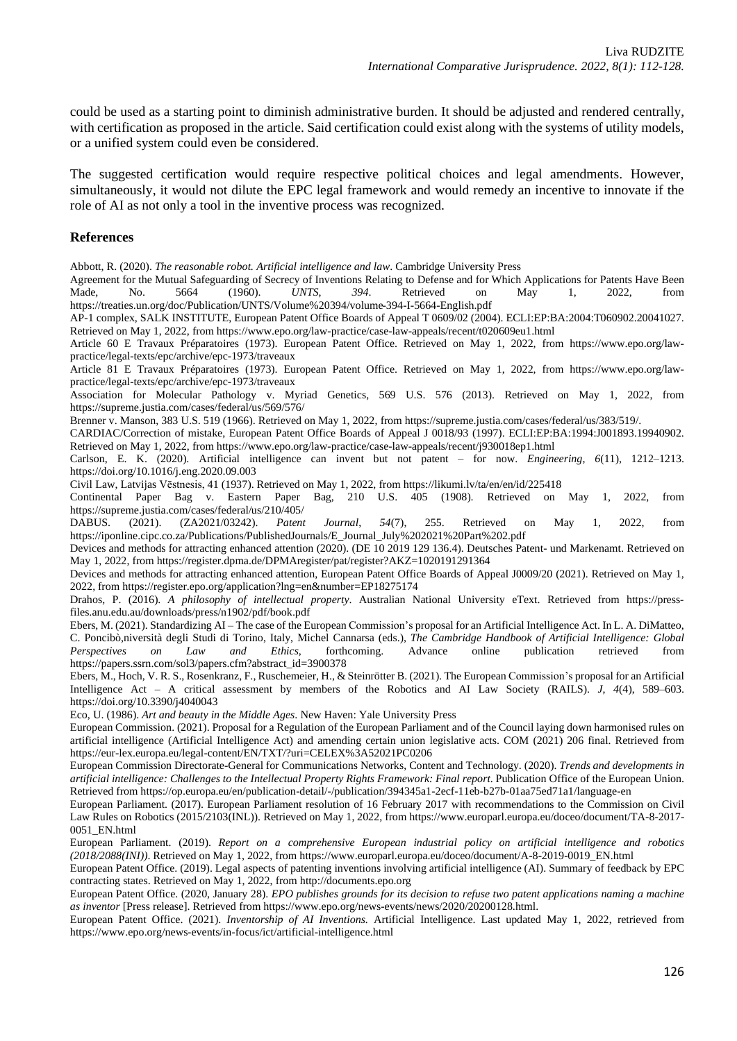could be used as a starting point to diminish administrative burden. It should be adjusted and rendered centrally, with certification as proposed in the article. Said certification could exist along with the systems of utility models, or a unified system could even be considered.

The suggested certification would require respective political choices and legal amendments. However, simultaneously, it would not dilute the EPC legal framework and would remedy an incentive to innovate if the role of AI as not only a tool in the inventive process was recognized.

#### **References**

Abbott, R. (2020). *The reasonable robot. Artificial intelligence and law*. Cambridge University Press

Agreement for the Mutual Safeguarding of Secrecy of Inventions Relating to Defense and for Which Applications for Patents Have Been<br>Made, No. 5664 (1960). *UNTS*, 394. Retrieved on May 1, 2022, from Made, No. 5664 (1960). *UNTS*, *394*. Retrieved on May 1, 2022, from https://treaties.un.org/doc/Publication/UNTS/Volume%20394/volume-394-I-5664-English.pdf

AP-1 complex, SALK INSTITUTE, European Patent Office Boards of Appeal T 0609/02 (2004). ECLI:EP:BA:2004:T060902.20041027. Retrieved on May 1, 2022, from https://www.epo.org/law-practice/case-law-appeals/recent/t020609eu1.html

Article 60 E Travaux Préparatoires (1973). European Patent Office. Retrieved on May 1, 2022, from https://www.epo.org/lawpractice/legal-texts/epc/archive/epc-1973/traveaux

Article 81 E Travaux Préparatoires (1973). European Patent Office. Retrieved on May 1, 2022, from https://www.epo.org/lawpractice/legal-texts/epc/archive/epc-1973/traveaux

Association for Molecular Pathology v. Myriad Genetics, 569 U.S. 576 (2013). Retrieved on May 1, 2022, from https://supreme.justia.com/cases/federal/us/569/576/

Brenner v. Manson, 383 U.S. 519 (1966). Retrieved on May 1, 2022, from https://supreme.justia.com/cases/federal/us/383/519/.

CARDIAC/Correction of mistake, European Patent Office Boards of Appeal J 0018/93 (1997). ECLI:EP:BA:1994:J001893.19940902. Retrieved on May 1, 2022, from https://www.epo.org/law-practice/case-law-appeals/recent/j930018ep1.html

Carlson, E. K. (2020). Artificial intelligence can invent but not patent – for now. *Engineering*, *6*(11), 1212–1213. https://doi.org/10.1016/j.eng.2020.09.003

Civil Law, Latvijas Vēstnesis, 41 (1937). Retrieved on May 1, 2022, from https://likumi.lv/ta/en/en/id/225418

Continental Paper Bag v. Eastern Paper Bag, 210 U.S. 405 (1908). Retrieved on May 1, 2022, from https://supreme.justia.com/cases/federal/us/210/405/<br>DABUS. (2021). (ZA2021/03242). Patent

DABUS. (2021). (ZA2021/03242). *Patent Journal*, *54*(7), 255. Retrieved on May 1, 2022, from https://iponline.cipc.co.za/Publications/PublishedJournals/E\_Journal\_July%202021%20Part%202.pdf

Devices and methods for attracting enhanced attention (2020). (DE 10 2019 129 136.4). Deutsches Patent- und Markenamt. Retrieved on May 1, 2022, from https://register.dpma.de/DPMAregister/pat/register?AKZ=1020191291364

Devices and methods for attracting enhanced attention, European Patent Office Boards of Appeal J0009/20 (2021). Retrieved on May 1, 2022, from https://register.epo.org/application?lng=en&number=EP18275174

Drahos, P. (2016). *A philosophy of intellectual property*. Australian National University eText. Retrieved from https://pressfiles.anu.edu.au/downloads/press/n1902/pdf/book.pdf

Ebers, M. (2021). Standardizing AI – The case of the European Commission's proposal for an Artificial Intelligence Act. In L. A. DiMatteo, C. Poncibò,niversità degli Studi di Torino, Italy, Michel Cannarsa (eds.), *The Cambridge Handbook of Artificial Intelligence: Global Perspectives on Law and Ethics*, forthcoming. Advance online publication retrieved from https://papers.ssrn.com/sol3/papers.cfm?abstract\_id=3900378

Ebers, M., Hoch, V. R. S., Rosenkranz, F., Ruschemeier, H., & Steinrötter B. (2021). The European Commission's proposal for an Artificial Intelligence Act – A critical assessment by members of the Robotics and AI Law Society (RAILS). *J*, *4*(4), 589–603. https://doi.org/10.3390/j4040043

Eco, U. (1986). *Art and beauty in the Middle Ages*. New Haven: Yale University Press

European Commission. (2021). Proposal for a Regulation of the European Parliament and of the Council laying down harmonised rules on artificial intelligence (Artificial Intelligence Act) and amending certain union legislative acts. COM (2021) 206 final. Retrieved from https://eur-lex.europa.eu/legal-content/EN/TXT/?uri=CELEX%3A52021PC0206

European Commission Directorate-General for Communications Networks, Content and Technology. (2020). *Trends and developments in artificial intelligence: Challenges to the Intellectual Property Rights Framework: Final report*. Publication Office of the European Union. Retrieved from https://op.europa.eu/en/publication-detail/-/publication/394345a1-2ecf-11eb-b27b-01aa75ed71a1/language-en

European Parliament. (2017). European Parliament resolution of 16 February 2017 with recommendations to the Commission on Civil Law Rules on Robotics (2015/2103(INL)). Retrieved on May 1, 2022, from https://www.europarl.europa.eu/doceo/document/TA-8-2017- 0051\_EN.html

European Parliament. (2019). *Report on a comprehensive European industrial policy on artificial intelligence and robotics (2018/2088(INI))*. Retrieved on May 1, 2022, from https://www.europarl.europa.eu/doceo/document/A-8-2019-0019\_EN.html

European Patent Office. (2019). Legal aspects of patenting inventions involving artificial intelligence (AI). Summary of feedback by EPC contracting states. Retrieved on May 1, 2022, from http://documents.epo.org

European Patent Office. (2020, January 28). EPO publishes grounds for its decision to refuse two patent applications naming a machine *as inventor* [Press release]. Retrieved from https://www.epo.org/news-events/news/2020/20200128.html.

European Patent Office. (2021). *Inventorship of AI Inventions.* Artificial Intelligence. Last updated May 1, 2022, retrieved from https://www.epo.org/news-events/in-focus/ict/artificial-intelligence.html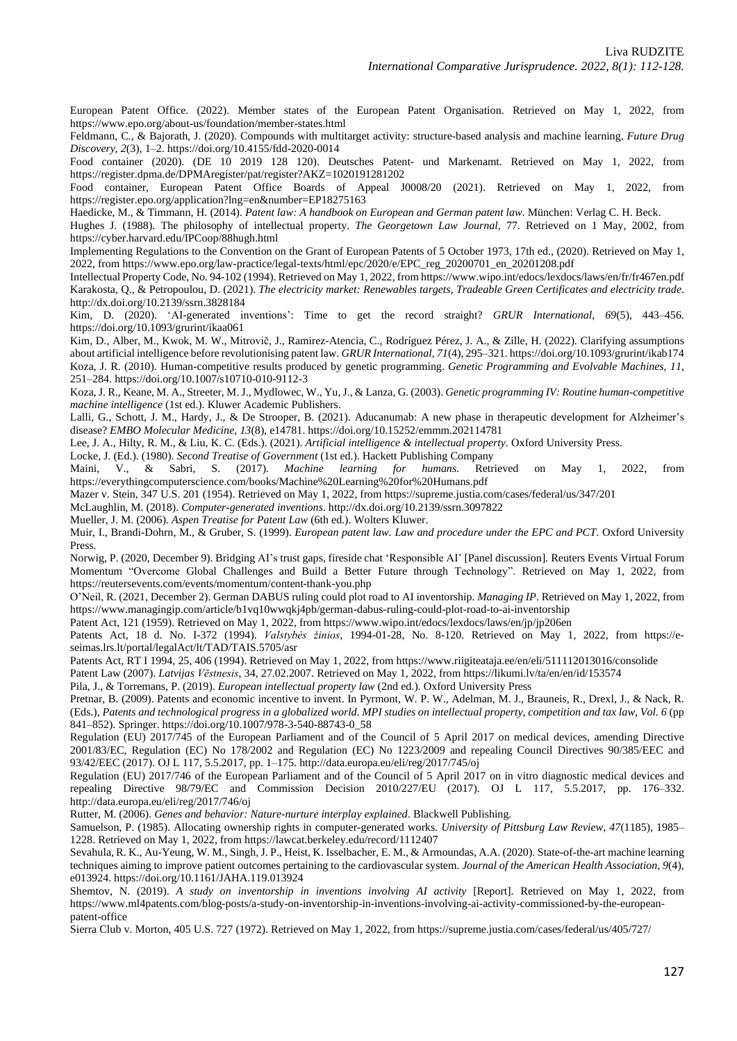European Patent Office. (2022). Member states of the European Patent Organisation. Retrieved on May 1, 2022, from https://www.epo.org/about-us/foundation/member-states.html

Feldmann, C., & Bajorath, J. (2020). Compounds with multitarget activity: structure-based analysis and machine learning. *Future Drug Discovery*, *2*(3), 1–2. https://doi.org/10.4155/fdd-2020-0014

Food container (2020). (DE 10 2019 128 120). Deutsches Patent- und Markenamt. Retrieved on May 1, 2022, from https://register.dpma.de/DPMAregister/pat/register?AKZ=1020191281202

Food container, European Patent Office Boards of Appeal J0008/20 (2021). Retrieved on May 1, 2022, from https://register.epo.org/application?lng=en&number=EP18275163

Haedicke, M., & Timmann, H. (2014). *Patent law: A handbook on European and German patent law*. München: Verlag C. H. Beck.

Hughes J. (1988). The philosophy of intellectual property. *The Georgetown Law Journal*, 77. Retrieved on 1 May, 2002, from https://cyber.harvard.edu/IPCoop/88hugh.html

Implementing Regulations to the Convention on the Grant of European Patents of 5 October 1973, 17th ed., (2020). Retrieved on May 1, 2022, from https://www.epo.org/law-practice/legal-texts/html/epc/2020/e/EPC\_reg\_20200701\_en\_20201208.pdf

Intellectual Property Code, No. 94-102 (1994). Retrieved on May 1, 2022, from https://www.wipo.int/edocs/lexdocs/laws/en/fr/fr467en.pdf Karakosta, Q., & Petropoulou, D. (2021). *The electricity market: Renewables targets, Tradeable Green Certificates and electricity trade*. http://dx.doi.org/10.2139/ssrn.3828184

Kim, D. (2020). 'AI-generated inventions': Time to get the record straight? *GRUR International*, *69*(5), 443–456. https://doi.org/10.1093/grurint/ikaa061

Kim, D., Alber, M., Kwok, M. W., Mitrovič, J., Ramirez-Atencia, C., Rodríguez Pérez, J. A., & Zille, H. (2022). Clarifying assumptions about artificial intelligence before revolutionising patent law. *GRUR International*, *71*(4), 295–321. https://doi.org/10.1093/grurint/ikab174 Koza, J. R. (2010). Human-competitive results produced by genetic programming. *Genetic Programming and Evolvable Machines*, *11*, 251–284. https://doi.org/10.1007/s10710-010-9112-3

Koza, J. R., Keane, M. A., Streeter, M.J., Mydlowec, W., Yu,J., & Lanza, G. (2003). *Genetic programming IV: Routine human-competitive machine intelligence* (1st ed.). Kluwer Academic Publishers.

Lalli, G., Schott, J. M., Hardy, J., & De Strooper, B. (2021). Aducanumab: A new phase in therapeutic development for Alzheimer's disease? *EMBO Molecular Medicine*, *13*(8), e14781. https://doi.org/10.15252/emmm.202114781

Lee, J. A., Hilty, R. M., & Liu, K. C. (Eds.). (2021). *Artificial intelligence & intellectual property*. Oxford University Press.

Locke, J. (Ed.). (1980). *Second Treatise of Government* (1st ed.). Hackett Publishing Company

Maini, V., & Sabri, S. (2017). *Machine learning for humans*. Retrieved on May 1, 2022, from https://everythingcomputerscience.com/books/Machine%20Learning%20for%20Humans.pdf

Mazer v. Stein, 347 U.S. 201 (1954). Retrieved on May 1, 2022, from https://supreme.justia.com/cases/federal/us/347/201

McLaughlin, M. (2018). *Computer-generated inventions*. http://dx.doi.org/10.2139/ssrn.3097822

Mueller, J. M. (2006). *Aspen Treatise for Patent Law* (6th ed.). Wolters Kluwer.

Muir, I., Brandi-Dohrn, M., & Gruber, S. (1999). *European patent law. Law and procedure under the EPC and PCT*. Oxford University Press.

Norwig, P. (2020, December 9). Bridging AI's trust gaps, fireside chat 'Responsible AI' [Panel discussion]. Reuters Events Virtual Forum Momentum "Overcome Global Challenges and Build a Better Future through Technology". Retrieved on May 1, 2022, from https://reutersevents.com/events/momentum/content-thank-you.php

O'Neil, R. (2021, December 2). German DABUS ruling could plot road to AI inventorship. *Managing IP*. Retrieved on May 1, 2022, from https://www.managingip.com/article/b1vq10wwqkj4pb/german-dabus-ruling-could-plot-road-to-ai-inventorship

Patent Act, 121 (1959). Retrieved on May 1, 2022, from https://www.wipo.int/edocs/lexdocs/laws/en/jp/jp206en

Patents Act, 18 d. No. I-372 (1994). *Valstybės žinios*, 1994-01-28, No. 8-120. Retrieved on May 1, 2022, from https://eseimas.lrs.lt/portal/legalAct/lt/TAD/TAIS.5705/asr

Patents Act, RT I 1994, 25, 406 (1994). Retrieved on May 1, 2022, from https://www.riigiteataja.ee/en/eli/511112013016/consolide

Patent Law (2007). *Latvijas Vēstnesis*, 34, 27.02.2007. Retrieved on May 1, 2022, from https://likumi.lv/ta/en/en/id/153574

Pila, J., & Torremans, P. (2019). *European intellectual property law* (2nd ed.). Oxford University Press

Pretnar, B. (2009). Patents and economic incentive to invent. In Pyrmont, W. P. W., Adelman, M. J., Brauneis, R., Drexl, J., & Nack, R. (Eds.), Patents and technological progress in a globalized world. MPI studies on intellectual property, competition and tax law, Vol. 6 (pp 841–852). Springer. https://doi.org/10.1007/978-3-540-88743-0\_58

Regulation (EU) 2017/745 of the European Parliament and of the Council of 5 April 2017 on medical devices, amending Directive 2001/83/EC, Regulation (EC) No 178/2002 and Regulation (EC) No 1223/2009 and repealing Council Directives 90/385/EEC and 93/42/EEC (2017). OJ L 117, 5.5.2017, pp. 1–175. http://data.europa.eu/eli/reg/2017/745/oj

Regulation (EU) 2017/746 of the European Parliament and of the Council of 5 April 2017 on in vitro diagnostic medical devices and repealing Directive 98/79/EC and Commission Decision 2010/227/EU (2017). OJ L 117, 5.5.2017, pp. 176–332. http://data.europa.eu/eli/reg/2017/746/oj

Rutter, M. (2006). *Genes and behavior: Nature-nurture interplay explained*. Blackwell Publishing.

Samuelson, P. (1985). Allocating ownership rights in computer-generated works. *University of Pittsburg Law Review*, *47*(1185), 1985– 1228. Retrieved on May 1, 2022, from https://lawcat.berkeley.edu/record/1112407

Sevahula, R. K., Au-Yeung, W. M., Singh, J. P., Heist, K. Isselbacher, E. M., & Armoundas, A.A. (2020). State-of-the-art machine learning techniques aiming to improve patient outcomes pertaining to the cardiovascular system. *Journal of the American Health Association*, *9*(4), e013924. https://doi.org/10.1161/JAHA.119.013924

Shemtov, N. (2019). *A study on inventorship in inventions involving AI activity* [Report]. Retrieved on May 1, 2022, from https://www.ml4patents.com/blog-posts/a-study-on-inventorship-in-inventions-involving-ai-activity-commissioned-by-the-europeanpatent-office

Sierra Club v. Morton, 405 U.S. 727 (1972). Retrieved on May 1, 2022, from https://supreme.justia.com/cases/federal/us/405/727/